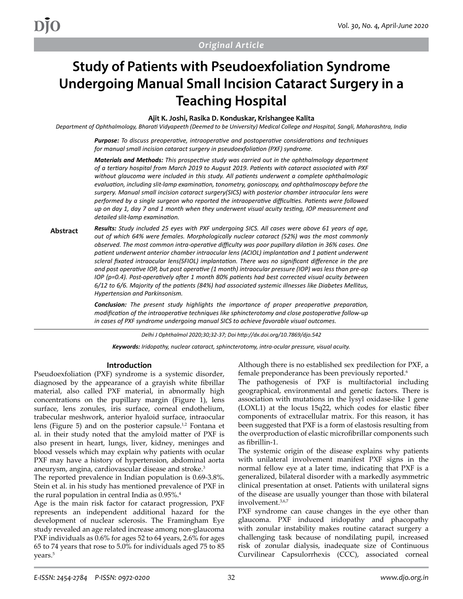# **Study of Patients with Pseudoexfoliation Syndrome Undergoing Manual Small Incision Cataract Surgery in a Teaching Hospital**

**Ajit K. Joshi, Rasika D. Konduskar, Krishangee Kalita**

*Department of Ophthalmology, Bharati Vidyapeeth (Deemed to be University) Medical College and Hospital, Sangli, Maharashtra, India*

*Purpose: To discuss preoperative, intraoperative and postoperative considerations and techniques for manual small incision cataract surgery in pseudoexfoliation (PXF) syndrome.* 

*Materials and Methods: This prospective study was carried out in the ophthalmology department of a tertiary hospital from March 2019 to August 2019. Patients with cataract associated with PXF without glaucoma were included in this study. All patients underwent a complete ophthalmologic evaluation, including slit-lamp examination, tonometry, gonioscopy, and ophthalmoscopy before the surgery. Manual small incision cataract surgery(SICS) with posterior chamber intraocular lens were performed by a single surgeon who reported the intraoperative difficulties. Patients were followed up on day 1, day 7 and 1 month when they underwent visual acuity testing, IOP measurement and detailed slit-lamp examination.* 

**Abstract** *Results: Study included 25 eyes with PXF undergoing SICS. All cases were above 61 years of age, out of which 64% were females. Morphologically nuclear cataract (52%) was the most commonly observed. The most common intra-operative difficulty was poor pupillary dilation in 36% cases. One patient underwent anterior chamber intraocular lens (ACIOL) implantation and 1 patient underwent scleral fixated intraocular lens(SFIOL) implantation. There was no significant difference in the pre and post operative IOP, but post operative (1 month) intraocular pressure (IOP) was less than pre-op IOP (p=0.4). Post-operatively after 1 month 80% patients had best corrected visual acuity between 6/12 to 6/6. Majority of the patients (84%) had associated systemic illnesses like Diabetes Mellitus, Hypertension and Parkinsonism.* 

> *Conclusion: The present study highlights the importance of proper preoperative preparation, modification of the intraoperative techniques like sphincterotomy and close postoperative follow-up in cases of PXF syndrome undergoing manual SICS to achieve favorable visual outcomes.*

> > *Delhi J Ophthalmol 2020;30;32-37; Doi http://dx.doi.org/10.7869/djo.542*

*Keywords: Iridopathy, nuclear cataract, sphincterotomy, intra-ocular pressure, visual acuity.*

#### **Introduction**

Pseudoexfoliation (PXF) syndrome is a systemic disorder, diagnosed by the appearance of a grayish white fibrillar material, also called PXF material, in abnormally high concentrations on the pupillary margin (Figure 1), lens surface, lens zonules, iris surface, corneal endothelium, trabecular meshwork, anterior hyaloid surface, intraocular lens (Figure 5) and on the posterior capsule.<sup>1,2</sup> Fontana et al. in their study noted that the amyloid matter of PXF is also present in heart, lungs, liver, kidney, meninges and blood vessels which may explain why patients with ocular PXF may have a history of hypertension, abdominal aorta aneurysm, angina, cardiovascular disease and stroke.<sup>3</sup>

The reported prevalence in Indian population is 0.69-3.8%. Stein et al. in his study has mentioned prevalence of PXF in the rural population in central India as 0.95%.<sup>4</sup>

Age is the main risk factor for cataract progression, PXF represents an independent additional hazard for the development of nuclear sclerosis. The Framingham Eye study revealed an age related increase among non-glaucoma PXF individuals as 0.6% for ages 52 to 64 years, 2.6% for ages 65 to 74 years that rose to 5.0% for individuals aged 75 to 85 years.<sup>5</sup>

Although there is no established sex predilection for PXF, a female preponderance has been previously reported.<sup>6</sup>

The pathogenesis of PXF is multifactorial including geographical, environmental and genetic factors. There is association with mutations in the lysyl oxidase-like 1 gene (LOXL1) at the locus 15q22, which codes for elastic fiber components of extracellular matrix. For this reason, it has been suggested that PXF is a form of elastosis resulting from the overproduction of elastic microfibrillar components such as fibrillin-1.

The systemic origin of the disease explains why patients with unilateral involvement manifest PXF signs in the normal fellow eye at a later time, indicating that PXF is a generalized, bilateral disorder with a markedly asymmetric clinical presentation at onset. Patients with unilateral signs of the disease are usually younger than those with bilateral involvement.3,6,7

PXF syndrome can cause changes in the eye other than glaucoma. PXF induced iridopathy and phacopathy with zonular instability makes routine cataract surgery a challenging task because of nondilating pupil, increased risk of zonular dialysis, inadequate size of Continuous Curvilinear Capsulorrhexis (CCC), associated corneal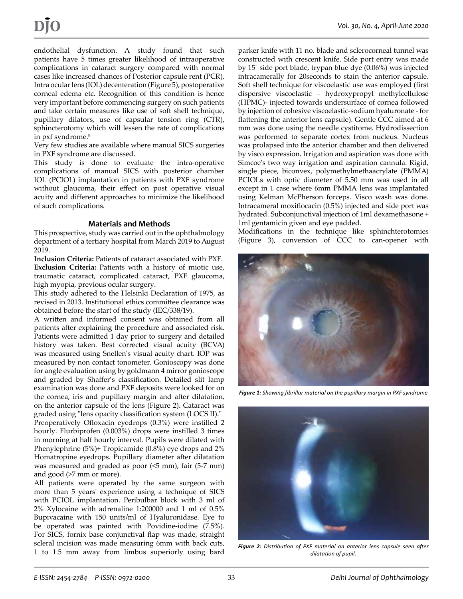endothelial dysfunction. A study found that such patients have 5 times greater likelihood of intraoperative complications in cataract surgery compared with normal cases like increased chances of Posterior capsule rent (PCR), Intra ocular lens (IOL) decenteration (Figure 5), postoperative corneal edema etc. Recognition of this condition is hence very important before commencing surgery on such patients and take certain measures like use of soft shell technique, pupillary dilators, use of capsular tension ring (CTR), sphincterotomy which will lessen the rate of complications in pxf syndrome.<sup>8</sup>

Very few studies are available where manual SICS surgeries in PXF syndrome are discussed.

This study is done to evaluate the intra-operative complications of manual SICS with posterior chamber IOL (PCIOL) implantation in patients with PXF syndrome without glaucoma, their effect on post operative visual acuity and different approaches to minimize the likelihood of such complications.

#### **Materials and Methods**

This prospective, study was carried out in the ophthalmology department of a tertiary hospital from March 2019 to August 2019.

**Inclusion Criteria:** Patients of cataract associated with PXF. **Exclusion Criteria:** Patients with a history of miotic use, traumatic cataract, complicated cataract, PXF glaucoma, high myopia, previous ocular surgery.

This study adhered to the Helsinki Declaration of 1975, as revised in 2013. Institutional ethics committee clearance was obtained before the start of the study (IEC/338/19).

A written and informed consent was obtained from all patients after explaining the procedure and associated risk. Patients were admitted 1 day prior to surgery and detailed history was taken. Best corrected visual acuity (BCVA) was measured using Snellen's visual acuity chart. IOP was measured by non contact tonometer. Gonioscopy was done for angle evaluation using by goldmann 4 mirror gonioscope and graded by Shaffer's classification. Detailed slit lamp examination was done and PXF deposits were looked for on the cornea, iris and pupillary margin and after dilatation, on the anterior capsule of the lens (Figure 2). Cataract was graded using "lens opacity classification system (LOCS II)."

Preoperatively Ofloxacin eyedrops (0.3%) were instilled 2 hourly. Flurbiprofen (0.003%) drops were instilled 3 times in morning at half hourly interval. Pupils were dilated with Phenylephrine (5%)+ Tropicamide (0.8%) eye drops and 2% Homatropine eyedrops. Pupillary diameter after dilatation was measured and graded as poor (<5 mm), fair (5-7 mm) and good (>7 mm or more).

All patients were operated by the same surgeon with more than 5 years' experience using a technique of SICS with PCIOL implantation. Peribulbar block with 3 ml of 2% Xylocaine with adrenaline 1:200000 and 1 ml of 0.5% Bupivacaine with 150 units/ml of Hyaluronidase. Eye to be operated was painted with Povidine-iodine (7.5%). For SICS, fornix base conjunctival flap was made, straight scleral incision was made measuring 6mm with back cuts, 1 to 1.5 mm away from limbus superiorly using bard

parker knife with 11 no. blade and sclerocorneal tunnel was constructed with crescent knife. Side port entry was made by 15˚ side port blade, trypan blue dye (0.06%) was injected intracamerally for 20seconds to stain the anterior capsule. Soft shell technique for viscoelastic use was employed (first dispersive viscoelastic – hydroxypropyl methylcellulose (HPMC)- injected towards undersurface of cornea followed by injection of cohesive viscoelastic-sodium hyaluronate - for flattening the anterior lens capsule). Gentle CCC aimed at 6 mm was done using the needle cystitome. Hydrodissection was performed to separate cortex from nucleus. Nucleus was prolapsed into the anterior chamber and then delivered by visco expression. Irrigation and aspiration was done with Simcoe's two way irrigation and aspiration cannula. Rigid, single piece, biconvex, polymethylmethaacrylate (PMMA) PCIOLs with optic diameter of 5.50 mm was used in all except in 1 case where 6mm PMMA lens was implantated using Kelman McPherson forceps. Visco wash was done. Intracameral moxiflocacin (0.5%) injected and side port was hydrated. Subconjunctival injection of 1ml dexamethasone + 1ml gentamicin given and eye padded.

Modifications in the technique like sphinchterotomies (Figure 3), conversion of CCC to can-opener with



*Figure 1: Showing fibrillar material on the pupillary margin in PXF syndrome*



*Figure 2: Distribution of PXF material on anterior lens capsule seen after dilatation of pupil.*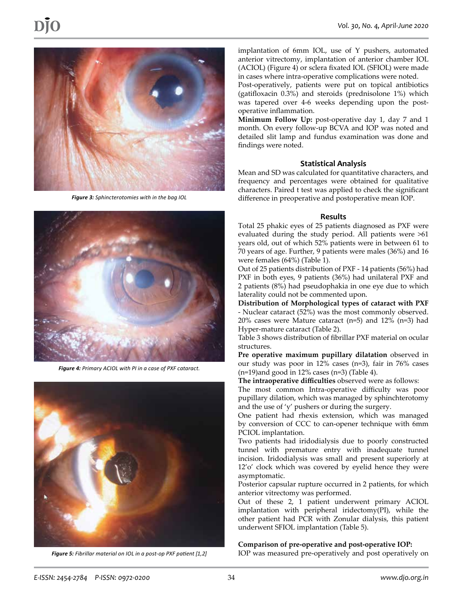

*Figure 3: Sphincterotomies with in the bag IOL*



*Figure 4: Primary ACIOL with PI in a case of PXF cataract.*



*Figure 5: Fibrillar material on IOL in a post-op PXF patient [1,2]*

implantation of 6mm IOL, use of Y pushers, automated anterior vitrectomy, implantation of anterior chamber IOL (ACIOL) (Figure 4) or sclera fixated IOL (SFIOL) were made in cases where intra-operative complications were noted.

Post-operatively, patients were put on topical antibiotics (gatifloxacin 0.3%) and steroids (prednisolone 1%) which was tapered over 4-6 weeks depending upon the postoperative inflammation.

**Minimum Follow Up:** post-operative day 1, day 7 and 1 month. On every follow-up BCVA and IOP was noted and detailed slit lamp and fundus examination was done and findings were noted.

### **Statistical Analysis**

Mean and SD was calculated for quantitative characters, and frequency and percentages were obtained for qualitative characters. Paired t test was applied to check the significant difference in preoperative and postoperative mean IOP.

#### **Results**

Total 25 phakic eyes of 25 patients diagnosed as PXF were evaluated during the study period. All patients were >61 years old, out of which 52% patients were in between 61 to 70 years of age. Further, 9 patients were males (36%) and 16 were females (64%) (Table 1).

Out of 25 patients distribution of PXF - 14 patients (56%) had PXF in both eyes, 9 patients (36%) had unilateral PXF and 2 patients (8%) had pseudophakia in one eye due to which laterality could not be commented upon.

**Distribution of Morphological types of cataract with PXF**  - Nuclear cataract (52%) was the most commonly observed. 20% cases were Mature cataract (n=5) and 12% (n=3) had Hyper-mature cataract (Table 2).

Table 3 shows distribution of fibrillar PXF material on ocular structures.

**Pre operative maximum pupillary dilatation** observed in our study was poor in 12% cases (n=3), fair in 76% cases  $(n=19)$ and good in 12% cases  $(n=3)$  (Table 4).

**The intraoperative difficulties** observed were as follows: The most common Intra-operative difficulty was poor pupillary dilation, which was managed by sphinchterotomy and the use of 'y' pushers or during the surgery.

One patient had rhexis extension, which was managed by conversion of CCC to can-opener technique with 6mm PCIOL implantation.

Two patients had iridodialysis due to poorly constructed tunnel with premature entry with inadequate tunnel incision. Iridodialysis was small and present superiorly at 12'o' clock which was covered by eyelid hence they were asymptomatic.

Posterior capsular rupture occurred in 2 patients, for which anterior vitrectomy was performed.

Out of these 2, 1 patient underwent primary ACIOL implantation with peripheral iridectomy(PI), while the other patient had PCR with Zonular dialysis, this patient underwent SFIOL implantation (Table 5).

#### **Comparison of pre-operative and post-operative IOP:**

IOP was measured pre-operatively and post operatively on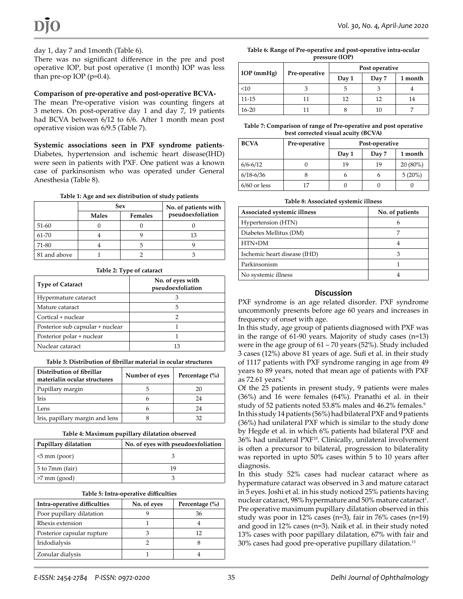### day 1, day 7 and 1month (Table 6).

There was no significant difference in the pre and post operative IOP, but post operative (1 month) IOP was less than pre-op IOP ( $p=0.4$ ).

#### **Comparison of pre-operative and post-operative BCVA-**

The mean Pre-operative vision was counting fingers at 3 meters. On post-operative day 1 and day 7, 19 patients had BCVA between 6/12 to 6/6. After 1 month mean post operative vision was 6/9.5 (Table 7).

**Systemic associations seen in PXF syndrome patients**-Diabetes, hypertension and ischemic heart disease(IHD) were seen in patients with PXF. One patient was a known case of parkinsonism who was operated under General Anesthesia (Table 8).

#### **Table 1: Age and sex distribution of study patients**

|              | Sex          |                | No. of patients with |  |
|--------------|--------------|----------------|----------------------|--|
|              | <b>Males</b> | <b>Females</b> | pseudoexfoliation    |  |
| 51-60        |              |                |                      |  |
| 61-70        |              |                | 13                   |  |
| 71-80        |              |                |                      |  |
| 81 and above |              |                |                      |  |

| Table 2: Type of cataract        |                                       |  |  |
|----------------------------------|---------------------------------------|--|--|
| <b>Type of Cataract</b>          | No. of eyes with<br>pseudoexfoliation |  |  |
| Hypermature cataract             |                                       |  |  |
| Mature cataract                  | 5                                     |  |  |
| Cortical + nuclear               | 2                                     |  |  |
| Posterior sub capsular + nuclear |                                       |  |  |
| Posterior polar + nuclear        |                                       |  |  |
| Nuclear cataract                 | 13                                    |  |  |

#### **Table 3: Distribution of fibrillar material in ocular structures**

| Distribution of fibrillar<br>materialin ocular structures | Number of eyes | Percentage $(\% )$ |
|-----------------------------------------------------------|----------------|--------------------|
| Pupillary margin                                          |                | 20                 |
| <b>Iris</b>                                               |                | 24                 |
| Lens                                                      |                | 24                 |
| Iris, papillary margin and lens                           |                | 32                 |

| <b>Pupillary dilatation</b> | No. of eyes with pseudoexfoliation |
|-----------------------------|------------------------------------|
| $\leq$ mm (poor)            |                                    |
| 5 to 7mm (fair)             | 19                                 |
| $>7$ mm (good)              |                                    |

| Intra-operative difficulties | No. of eyes | Percentage $(\% )$ |
|------------------------------|-------------|--------------------|
| Poor pupillary dilatation    |             | 36                 |
| Rhexis extension             |             |                    |
| Posterior capsular rupture   |             | 12                 |
| Iridodialysis                |             |                    |
| Zonular dialysis             |             |                    |

DJO *Vol. 30, No. 4, April-June 2020*

| Table 6: Range of Pre-operative and post-operative intra-ocular |
|-----------------------------------------------------------------|
| pressure (IOP)                                                  |

|              |               | Post operative |       |         |
|--------------|---------------|----------------|-------|---------|
| $IOP$ (mmHg) | Pre-operative | Day 1          | Day 7 | 1 month |
| <10          |               | 5              |       |         |
| $11 - 15$    |               | 12             | 12    | 14      |
| $16 - 20$    |               | ŏ              | 10    |         |

**Table 7: Comparison of range of Pre-operative and post operative best corrected visual acuity (BCVA)**

| <b>BCVA</b>    | Pre-operative | Post-operative |       |            |
|----------------|---------------|----------------|-------|------------|
|                |               | Day 1          | Day 7 | 1 month    |
| $6/6 - 6/12$   |               | 19             | 19    | $20(80\%)$ |
| $6/18 - 6/36$  |               | h              | h     | 5(20%)     |
| $6/60$ or less | 17            |                |       |            |

| Table 8: Associated systemic illness |  |
|--------------------------------------|--|
|--------------------------------------|--|

| Associated systemic illness  | No. of patients |
|------------------------------|-----------------|
| Hypertension (HTN)           | 6               |
| Diabetes Mellitus (DM)       |                 |
| HTN+DM                       | 4               |
| Ischemic heart disease (IHD) | З               |
| Parkinsonism                 |                 |
| No systemic illness          |                 |

#### **Discussion**

PXF syndrome is an age related disorder. PXF syndrome uncommonly presents before age 60 years and increases in frequency of onset with age.

In this study, age group of patients diagnosed with PXF was in the range of 61-90 years. Majority of study cases (n=13) were in the age group of 61 – 70 years (52%). Study included 3 cases (12%) above 81 years of age. Sufi et al. in their study of 1117 patients with PXF syndrome ranging in age from 49 years to 89 years, noted that mean age of patients with PXF as  $72.61$  years.<sup>9</sup>

Of the 25 patients in present study, 9 patients were males (36%) and 16 were females (64%). Pranathi et al. in their study of 52 patients noted 53.8% males and 46.2% females.<sup>9</sup> In this study 14 patients (56%) had bilateral PXF and 9 patients

(36%) had unilateral PXF which is similar to the study done by Hegde et al. in which 6% patients had bilateral PXF and 36% had unilateral PXF10. Clinically, unilateral involvement is often a precursor to bilateral, progression to bilaterality was reported in upto 50% cases within 5 to 10 years after diagnosis.

In this study 52% cases had nuclear cataract where as hypermature cataract was observed in 3 and mature cataract in 5 eyes. Joshi et al. in his study noticed 25% patients having nuclear cataract, 98% hypermature and 50% mature cataract $^1$ . Pre operative maximum pupillary dilatation observed in this study was poor in 12% cases (n=3), fair in 76% cases (n=19) and good in 12% cases (n=3). Naik et al. in their study noted 13% cases with poor papillary dilatation, 67% with fair and 30% cases had good pre-operative pupillary dilatation.11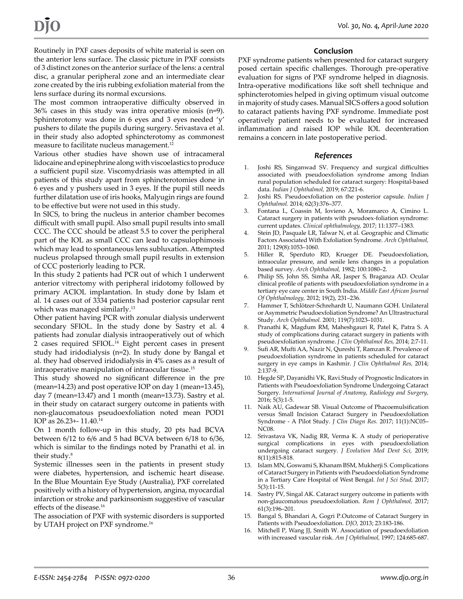Routinely in PXF cases deposits of white material is seen on the anterior lens surface. The classic picture in PXF consists of 3 distinct zones on the anterior surface of the lens: a central disc, a granular peripheral zone and an intermediate clear zone created by the iris rubbing exfoliation material from the lens surface during its normal excursions.

The most common intraoperative difficulty observed in 36% cases in this study was intra operative miosis (n=9). Sphinterotomy was done in 6 eyes and 3 eyes needed 'y' pushers to dilate the pupils during surgery. Srivastava et al. in their study also adopted sphincterotomy as commonest measure to facilitate nucleus management.<sup>12</sup>

Various other studies have shown use of intracameral lidocaine and epinephrine along with viscoelastics to produce a sufficient pupil size. Viscomydriasis was attempted in all patients of this study apart from sphincterotomies done in 6 eyes and y pushers used in 3 eyes. If the pupil still needs further dilatation use of iris hooks, Malyugin rings are found to be effective but were not used in this study.

In SICS, to bring the nucleus in anterior chamber becomes difficult with small pupil. Also small pupil results into small CCC. The CCC should be atleast 5.5 to cover the peripheral part of the IOL as small CCC can lead to capsulophimosis which may lead to spontaneous lens subluxation. Attempted nucleus prolapsed through small pupil results in extension of CCC posteriorly leading to PCR.

In this study 2 patients had PCR out of which 1 underwent anterior vitrectomy with peripheral iridotomy followed by primary ACIOL implantation. In study done by Islam et al. 14 cases out of 3334 patients had posterior capsular rent which was managed similarly.<sup>13</sup>

Other patient having PCR with zonular dialysis underwent secondary SFIOL. In the study done by Sastry et al. 4 patients had zonular dialysis intraoperatively out of which 2 cases required SFIOL.<sup>14</sup> Eight percent cases in present study had iridodialysis (n=2). In study done by Bangal et al. they had observed iridodialysis in 4% cases as a result of intraoperative manipulation of intraocular tissue.15

This study showed no significant difference in the pre (mean=14.23) and post operative IOP on day 1 (mean=13.45), day 7 (mean=13.47) and 1 month (mean=13.73). Sastry et al. in their study on cataract surgery outcome in patients with non-glaucomatous pseudoexfoliation noted mean POD1 IOP as 26.23+- 11.40.14

On 1 month follow-up in this study, 20 pts had BCVA between 6/12 to 6/6 and 5 had BCVA between 6/18 to 6/36, which is similar to the findings noted by Pranathi et al. in their study.<sup>8</sup>

Systemic illnesses seen in the patients in present study were diabetes, hypertension, and ischemic heart disease. In the Blue Mountain Eye Study (Australia), PXF correlated positively with a history of hypertension, angina, myocardial infarction or stroke and parkinsonism suggestive of vascular effects of the disease.<sup>16</sup>

The association of PXF with systemic disorders is supported by UTAH project on PXF syndrome.<sup>16</sup>

#### **Conclusion**

PXF syndrome patients when presented for cataract surgery posed certain specific challenges. Thorough pre-operative evaluation for signs of PXF syndrome helped in diagnosis. Intra-operative modifications like soft shell technique and sphincterotomies helped in giving optimum visual outcome in majority of study cases. Manual SICS offers a good solution to cataract patients having PXF syndrome. Immediate post operatively patient needs to be evaluated for increased inflammation and raised IOP while IOL decenteration remains a concern in late postoperative period.

#### *References*

- 1. Joshi RS, Singanwad SV. Frequency and surgical difficulties associated with pseudoexfoliation syndrome among Indian rural population scheduled for cataract surgery: Hospital-based data. *Indian J Ophthalmol,* 2019; 67:221-6.
- 2. Joshi RS. Pseudoexfoliation on the posterior capsule. *Indian J Ophthalmol.* 2014; 62(3):376–377.
- 3. Fontana L, Coassin M, Iovieno A, Moramarco A, Cimino L. Cataract surgery in patients with pseudoex-foliation syndrome: current updates. *Clinical ophthalmology,* 2017; 11:1377–1383.
- 4. Stein JD, Pasquale LR, Talwar N, et al. Geographic and Climatic Factors Associated With Exfoliation Syndrome. *Arch Ophthalmol,* 2011; 129(8):1053–1060.
- 5. Hiller R, Sperduto RD, Krueger DE. Pseudoexfoliation, intraocular pressure, and senile lens changes in a population based survey. *Arch Ophthalmol,* 1982; 100:1080–2.
- 6. Philip SS, John SS, Simha AR, Jasper S, Braganza AD. Ocular clinical profile of patients with pseudoexfoliation syndrome in a tertiary eye care center in South India. *Middle East African Journal Of Ophthalmology,* 2012; 19(2), 231–236.
- 7. Hammer T, Schlötzer-Schrehardt U, Naumann GOH. Unilateral or Asymmetric Pseudoexfoliation Syndrome? An Ultrastructural Study. *Arch Ophthalmol.* 2001; 119(7):1023–1031.
- 8. Pranathi K, Magdum RM, Maheshgauri R, Patel K, Patra S. A study of complications during cataract surgery in patients with pseudoexfoliation syndrome. *J Clin Ophthalmol Res,* 2014; 2:7-11.
- 9. Sufi AR, Mufti AA, Nazir N, Qureshi T, Ramzan R. Prevalence of pseudoexfoliation syndrome in patients scheduled for cataract surgery in eye camps in Kashmir. *J Clin Ophthalmol Res,* 2014; 2:137-9.
- 10. Hegde SP, Dayanidhi VK, Ravi.Study of Prognostic Indicators in Patients with Pseudoexfoliation Syndrome Undergoing Cataract Surgery. *International Journal of Anatomy, Radiology and Surgery,* 2016; 5(3):1-5.
- 11. Naik AU, Gadewar SB. Visual Outcome of Phacoemulsification versus Small Incision Cataract Surgery in Pseudoexfoliation Syndrome - A Pilot Study. *J Clin Diagn Res.* 2017; 11(1):NC05– NC08.
- 12. Srivastava VK, Nadig RR, Verma K. A study of perioperative surgical complications in eyes with pseudoexfoliation undergoing cataract surgery. *J Evolution Med Dent Sci,* 2019; 8(11):815-818.
- 13. Islam MN, Goswami S, Khanam BSM, Mukherji S. Complications of Cataract Surgery in Patients with Pseudoexfoliation Syndrome in a Tertiary Care Hospital of West Bengal. *Int J Sci Stud,* 2017; 5(3):11-15.
- 14. Sastry PV, Singal AK. Cataract surgery outcome in patients with non-glaucomatous pseudoexfoliation. *Rom J Ophthalmol,* 2017; 61(3):196–201.
- 15. Bangal S, Bhandari A, Gogri P.Outcome of Cataract Surgery in Patients with Pseudoexfoliation. *DJO,* 2013; 23:183-186.
- 16. Mitchell P, Wang JJ, Smith W. Association of pseudoexfoliation with increased vascular risk. *Am J Ophthalmol,* 1997; 124:685-687.